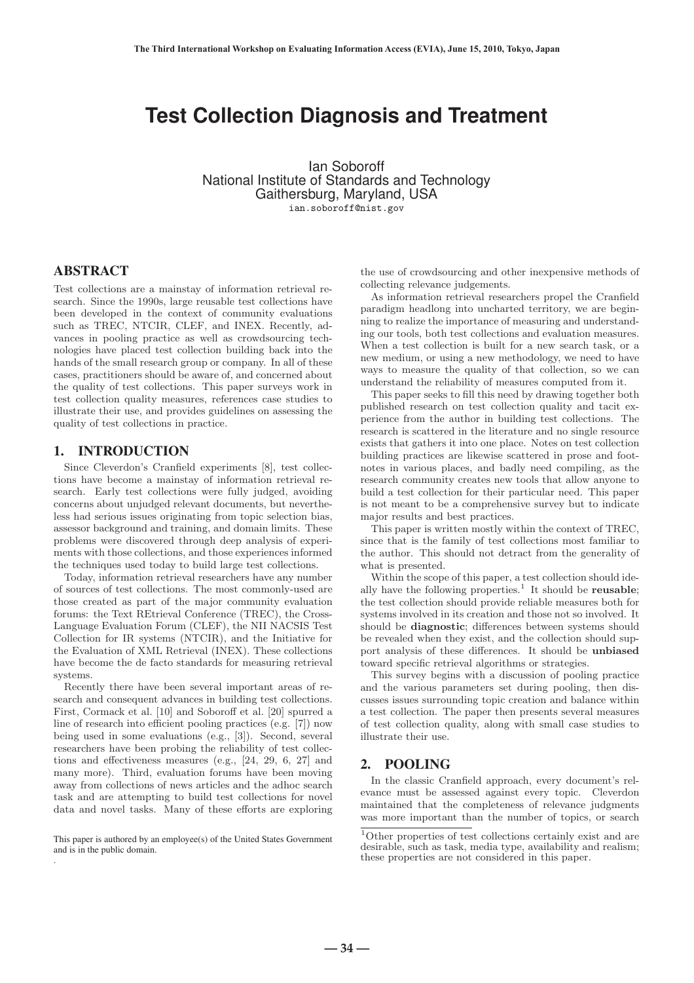# **Test Collection Diagnosis and Treatment**

Ian Soboroff National Institute of Standards and Technology Gaithersburg, Maryland, USA ian.soboroff@nist.gov

# ABSTRACT

Test collections are a mainstay of information retrieval research. Since the 1990s, large reusable test collections have been developed in the context of community evaluations such as TREC, NTCIR, CLEF, and INEX. Recently, advances in pooling practice as well as crowdsourcing technologies have placed test collection building back into the hands of the small research group or company. In all of these cases, practitioners should be aware of, and concerned about the quality of test collections. This paper surveys work in test collection quality measures, references case studies to illustrate their use, and provides guidelines on assessing the quality of test collections in practice.

# 1. INTRODUCTION

Since Cleverdon's Cranfield experiments [8], test collections have become a mainstay of information retrieval research. Early test collections were fully judged, avoiding concerns about unjudged relevant documents, but nevertheless had serious issues originating from topic selection bias, assessor background and training, and domain limits. These problems were discovered through deep analysis of experiments with those collections, and those experiences informed the techniques used today to build large test collections.

Today, information retrieval researchers have any number of sources of test collections. The most commonly-used are those created as part of the major community evaluation forums: the Text REtrieval Conference (TREC), the Cross-Language Evaluation Forum (CLEF), the NII NACSIS Test Collection for IR systems (NTCIR), and the Initiative for the Evaluation of XML Retrieval (INEX). These collections have become the de facto standards for measuring retrieval systems.

Recently there have been several important areas of research and consequent advances in building test collections. First, Cormack et al. [10] and Soboroff et al. [20] spurred a line of research into efficient pooling practices (e.g. [7]) now being used in some evaluations (e.g., [3]). Second, several researchers have been probing the reliability of test collections and effectiveness measures (e.g., [24, 29, 6, 27] and many more). Third, evaluation forums have been moving away from collections of news articles and the adhoc search task and are attempting to build test collections for novel data and novel tasks. Many of these efforts are exploring

This paper is authored by an employee(s) of the United States Government and is in the public domain. .

the use of crowdsourcing and other inexpensive methods of collecting relevance judgements.

As information retrieval researchers propel the Cranfield paradigm headlong into uncharted territory, we are beginning to realize the importance of measuring and understanding our tools, both test collections and evaluation measures. When a test collection is built for a new search task, or a new medium, or using a new methodology, we need to have ways to measure the quality of that collection, so we can understand the reliability of measures computed from it.

This paper seeks to fill this need by drawing together both published research on test collection quality and tacit experience from the author in building test collections. The research is scattered in the literature and no single resource exists that gathers it into one place. Notes on test collection building practices are likewise scattered in prose and footnotes in various places, and badly need compiling, as the research community creates new tools that allow anyone to build a test collection for their particular need. This paper is not meant to be a comprehensive survey but to indicate major results and best practices.

This paper is written mostly within the context of TREC, since that is the family of test collections most familiar to the author. This should not detract from the generality of what is presented.

Within the scope of this paper, a test collection should ideally have the following properties.<sup>1</sup> It should be **reusable**; the test collection should provide reliable measures both for systems involved in its creation and those not so involved. It should be **diagnostic**; differences between systems should be revealed when they exist, and the collection should support analysis of these differences. It should be **unbiased** toward specific retrieval algorithms or strategies.

This survey begins with a discussion of pooling practice and the various parameters set during pooling, then discusses issues surrounding topic creation and balance within a test collection. The paper then presents several measures of test collection quality, along with small case studies to illustrate their use.

# 2. POOLING

In the classic Cranfield approach, every document's relevance must be assessed against every topic. Cleverdon maintained that the completeness of relevance judgments was more important than the number of topics, or search

**― 34 ―**

<sup>1</sup>Other properties of test collections certainly exist and are desirable, such as task, media type, availability and realism; these properties are not considered in this paper.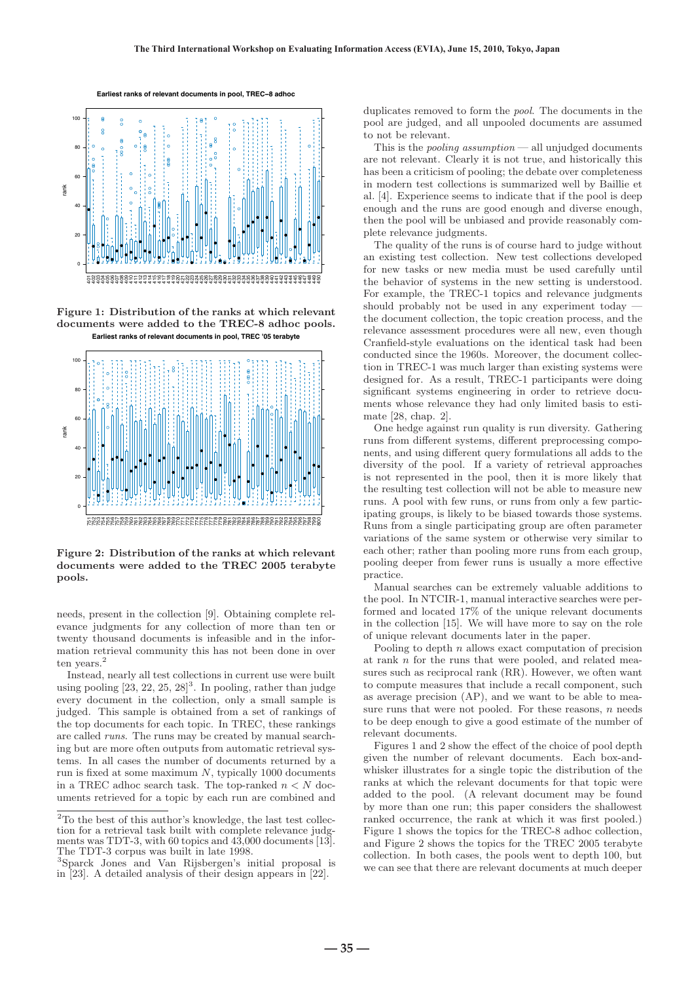

**Figure 1: Distribution of the ranks at which relevant documents were added to the TREC-8 adhoc pools. Earliest ranks of relevant documents in pool, TREC '05 terabyte**



**Figure 2: Distribution of the ranks at which relevant documents were added to the TREC 2005 terabyte pools.**

needs, present in the collection [9]. Obtaining complete relevance judgments for any collection of more than ten or twenty thousand documents is infeasible and in the information retrieval community this has not been done in over ten years.<sup>2</sup>

Instead, nearly all test collections in current use were built using pooling  $[23, 22, 25, 28]^3$ . In pooling, rather than judge every document in the collection, only a small sample is judged. This sample is obtained from a set of rankings of the top documents for each topic. In TREC, these rankings are called runs. The runs may be created by manual searching but are more often outputs from automatic retrieval systems. In all cases the number of documents returned by a run is fixed at some maximum  $N$ , typically 1000 documents in a TREC adhoc search task. The top-ranked  $n < N$  documents retrieved for a topic by each run are combined and duplicates removed to form the pool. The documents in the pool are judged, and all unpooled documents are assumed to not be relevant.

This is the *pooling assumption* — all unjudged documents are not relevant. Clearly it is not true, and historically this has been a criticism of pooling; the debate over completeness in modern test collections is summarized well by Baillie et al. [4]. Experience seems to indicate that if the pool is deep enough and the runs are good enough and diverse enough, then the pool will be unbiased and provide reasonably complete relevance judgments.

The quality of the runs is of course hard to judge without an existing test collection. New test collections developed for new tasks or new media must be used carefully until the behavior of systems in the new setting is understood. For example, the TREC-1 topics and relevance judgments should probably not be used in any experiment today the document collection, the topic creation process, and the relevance assessment procedures were all new, even though Cranfield-style evaluations on the identical task had been conducted since the 1960s. Moreover, the document collection in TREC-1 was much larger than existing systems were designed for. As a result, TREC-1 participants were doing significant systems engineering in order to retrieve documents whose relevance they had only limited basis to estimate [28, chap. 2].

One hedge against run quality is run diversity. Gathering runs from different systems, different preprocessing components, and using different query formulations all adds to the diversity of the pool. If a variety of retrieval approaches is not represented in the pool, then it is more likely that the resulting test collection will not be able to measure new runs. A pool with few runs, or runs from only a few participating groups, is likely to be biased towards those systems. Runs from a single participating group are often parameter variations of the same system or otherwise very similar to each other; rather than pooling more runs from each group, pooling deeper from fewer runs is usually a more effective practice.

Manual searches can be extremely valuable additions to the pool. In NTCIR-1, manual interactive searches were performed and located 17% of the unique relevant documents in the collection [15]. We will have more to say on the role of unique relevant documents later in the paper.

Pooling to depth  $n$  allows exact computation of precision at rank n for the runs that were pooled, and related measures such as reciprocal rank (RR). However, we often want to compute measures that include a recall component, such as average precision (AP), and we want to be able to measure runs that were not pooled. For these reasons,  $n$  needs to be deep enough to give a good estimate of the number of relevant documents.

Figures 1 and 2 show the effect of the choice of pool depth given the number of relevant documents. Each box-andwhisker illustrates for a single topic the distribution of the ranks at which the relevant documents for that topic were added to the pool. (A relevant document may be found by more than one run; this paper considers the shallowest ranked occurrence, the rank at which it was first pooled.) Figure 1 shows the topics for the TREC-8 adhoc collection, and Figure 2 shows the topics for the TREC 2005 terabyte collection. In both cases, the pools went to depth 100, but we can see that there are relevant documents at much deeper

<sup>&</sup>lt;sup>2</sup>To the best of this author's knowledge, the last test collection for a retrieval task built with complete relevance judgments was TDT-3, with 60 topics and 43,000 documents [13]. The TDT-3 corpus was built in late 1998.

<sup>3</sup>Sparck Jones and Van Rijsbergen's initial proposal is in [23]. A detailed analysis of their design appears in [22].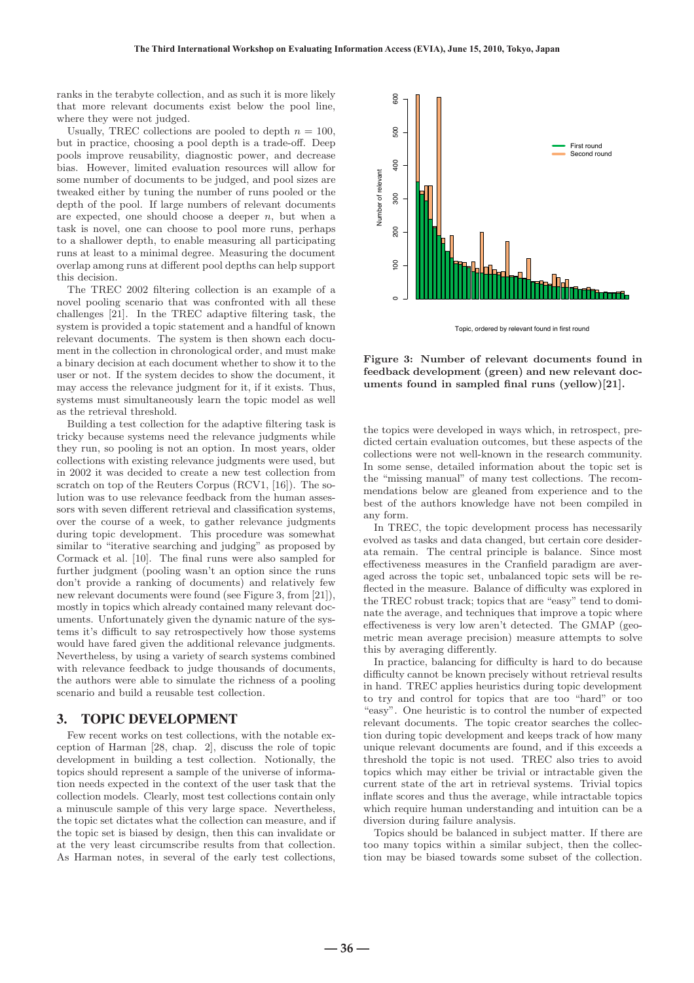ranks in the terabyte collection, and as such it is more likely that more relevant documents exist below the pool line, where they were not judged.

Usually, TREC collections are pooled to depth  $n = 100$ , but in practice, choosing a pool depth is a trade-off. Deep pools improve reusability, diagnostic power, and decrease bias. However, limited evaluation resources will allow for some number of documents to be judged, and pool sizes are tweaked either by tuning the number of runs pooled or the depth of the pool. If large numbers of relevant documents are expected, one should choose a deeper  $n$ , but when a task is novel, one can choose to pool more runs, perhaps to a shallower depth, to enable measuring all participating runs at least to a minimal degree. Measuring the document overlap among runs at different pool depths can help support this decision.

The TREC 2002 filtering collection is an example of a novel pooling scenario that was confronted with all these challenges [21]. In the TREC adaptive filtering task, the system is provided a topic statement and a handful of known relevant documents. The system is then shown each document in the collection in chronological order, and must make a binary decision at each document whether to show it to the user or not. If the system decides to show the document, it may access the relevance judgment for it, if it exists. Thus, systems must simultaneously learn the topic model as well as the retrieval threshold.

Building a test collection for the adaptive filtering task is tricky because systems need the relevance judgments while they run, so pooling is not an option. In most years, older collections with existing relevance judgments were used, but in 2002 it was decided to create a new test collection from scratch on top of the Reuters Corpus (RCV1, [16]). The solution was to use relevance feedback from the human assessors with seven different retrieval and classification systems, over the course of a week, to gather relevance judgments during topic development. This procedure was somewhat similar to "iterative searching and judging" as proposed by Cormack et al. [10]. The final runs were also sampled for further judgment (pooling wasn't an option since the runs don't provide a ranking of documents) and relatively few new relevant documents were found (see Figure 3, from [21]), mostly in topics which already contained many relevant documents. Unfortunately given the dynamic nature of the systems it's difficult to say retrospectively how those systems would have fared given the additional relevance judgments. Nevertheless, by using a variety of search systems combined with relevance feedback to judge thousands of documents, the authors were able to simulate the richness of a pooling scenario and build a reusable test collection.

# 3. TOPIC DEVELOPMENT

Few recent works on test collections, with the notable exception of Harman [28, chap. 2], discuss the role of topic development in building a test collection. Notionally, the topics should represent a sample of the universe of information needs expected in the context of the user task that the collection models. Clearly, most test collections contain only a minuscule sample of this very large space. Nevertheless, the topic set dictates what the collection can measure, and if the topic set is biased by design, then this can invalidate or at the very least circumscribe results from that collection. As Harman notes, in several of the early test collections,



Topic, ordered by relevant found in first round

**Figure 3: Number of relevant documents found in feedback development (green) and new relevant documents found in sampled final runs (yellow)[21].**

the topics were developed in ways which, in retrospect, predicted certain evaluation outcomes, but these aspects of the collections were not well-known in the research community. In some sense, detailed information about the topic set is the "missing manual" of many test collections. The recommendations below are gleaned from experience and to the best of the authors knowledge have not been compiled in any form.

In TREC, the topic development process has necessarily evolved as tasks and data changed, but certain core desiderata remain. The central principle is balance. Since most effectiveness measures in the Cranfield paradigm are averaged across the topic set, unbalanced topic sets will be reflected in the measure. Balance of difficulty was explored in the TREC robust track; topics that are "easy" tend to dominate the average, and techniques that improve a topic where effectiveness is very low aren't detected. The GMAP (geometric mean average precision) measure attempts to solve this by averaging differently.

In practice, balancing for difficulty is hard to do because difficulty cannot be known precisely without retrieval results in hand. TREC applies heuristics during topic development to try and control for topics that are too "hard" or too "easy". One heuristic is to control the number of expected relevant documents. The topic creator searches the collection during topic development and keeps track of how many unique relevant documents are found, and if this exceeds a threshold the topic is not used. TREC also tries to avoid topics which may either be trivial or intractable given the current state of the art in retrieval systems. Trivial topics inflate scores and thus the average, while intractable topics which require human understanding and intuition can be a diversion during failure analysis.

Topics should be balanced in subject matter. If there are too many topics within a similar subject, then the collection may be biased towards some subset of the collection.

 $-36 -$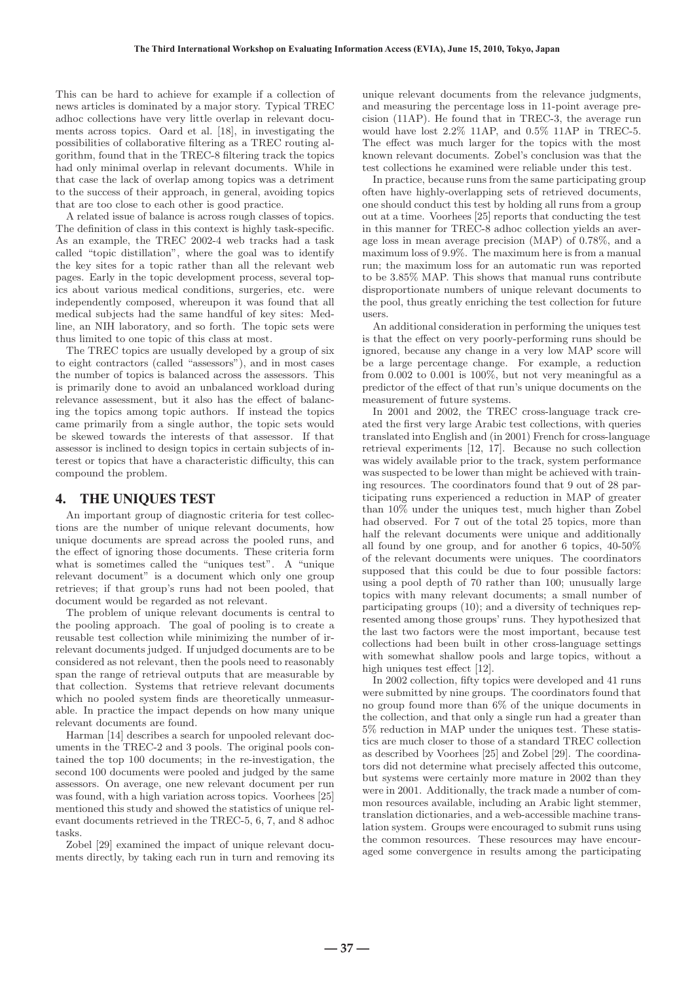This can be hard to achieve for example if a collection of news articles is dominated by a major story. Typical TREC adhoc collections have very little overlap in relevant documents across topics. Oard et al. [18], in investigating the possibilities of collaborative filtering as a TREC routing algorithm, found that in the TREC-8 filtering track the topics had only minimal overlap in relevant documents. While in that case the lack of overlap among topics was a detriment to the success of their approach, in general, avoiding topics that are too close to each other is good practice.

A related issue of balance is across rough classes of topics. The definition of class in this context is highly task-specific. As an example, the TREC 2002-4 web tracks had a task called "topic distillation", where the goal was to identify the key sites for a topic rather than all the relevant web pages. Early in the topic development process, several topics about various medical conditions, surgeries, etc. were independently composed, whereupon it was found that all medical subjects had the same handful of key sites: Medline, an NIH laboratory, and so forth. The topic sets were thus limited to one topic of this class at most.

The TREC topics are usually developed by a group of six to eight contractors (called "assessors"), and in most cases the number of topics is balanced across the assessors. This is primarily done to avoid an unbalanced workload during relevance assessment, but it also has the effect of balancing the topics among topic authors. If instead the topics came primarily from a single author, the topic sets would be skewed towards the interests of that assessor. If that assessor is inclined to design topics in certain subjects of interest or topics that have a characteristic difficulty, this can compound the problem.

#### 4. THE UNIQUES TEST

An important group of diagnostic criteria for test collections are the number of unique relevant documents, how unique documents are spread across the pooled runs, and the effect of ignoring those documents. These criteria form what is sometimes called the "uniques test". A "unique relevant document" is a document which only one group retrieves; if that group's runs had not been pooled, that document would be regarded as not relevant.

The problem of unique relevant documents is central to the pooling approach. The goal of pooling is to create a reusable test collection while minimizing the number of irrelevant documents judged. If unjudged documents are to be considered as not relevant, then the pools need to reasonably span the range of retrieval outputs that are measurable by that collection. Systems that retrieve relevant documents which no pooled system finds are theoretically unmeasurable. In practice the impact depends on how many unique relevant documents are found.

Harman [14] describes a search for unpooled relevant documents in the TREC-2 and 3 pools. The original pools contained the top 100 documents; in the re-investigation, the second 100 documents were pooled and judged by the same assessors. On average, one new relevant document per run was found, with a high variation across topics. Voorhees [25] mentioned this study and showed the statistics of unique relevant documents retrieved in the TREC-5, 6, 7, and 8 adhoc tasks.

Zobel [29] examined the impact of unique relevant documents directly, by taking each run in turn and removing its

unique relevant documents from the relevance judgments, and measuring the percentage loss in 11-point average precision (11AP). He found that in TREC-3, the average run would have lost 2.2% 11AP, and 0.5% 11AP in TREC-5. The effect was much larger for the topics with the most known relevant documents. Zobel's conclusion was that the test collections he examined were reliable under this test.

In practice, because runs from the same participating group often have highly-overlapping sets of retrieved documents, one should conduct this test by holding all runs from a group out at a time. Voorhees [25] reports that conducting the test in this manner for TREC-8 adhoc collection yields an average loss in mean average precision (MAP) of 0.78%, and a maximum loss of 9.9%. The maximum here is from a manual run; the maximum loss for an automatic run was reported to be 3.85% MAP. This shows that manual runs contribute disproportionate numbers of unique relevant documents to the pool, thus greatly enriching the test collection for future users.

An additional consideration in performing the uniques test is that the effect on very poorly-performing runs should be ignored, because any change in a very low MAP score will be a large percentage change. For example, a reduction from 0.002 to 0.001 is 100%, but not very meaningful as a predictor of the effect of that run's unique documents on the measurement of future systems.

In 2001 and 2002, the TREC cross-language track created the first very large Arabic test collections, with queries translated into English and (in 2001) French for cross-language retrieval experiments [12, 17]. Because no such collection was widely available prior to the track, system performance was suspected to be lower than might be achieved with training resources. The coordinators found that 9 out of 28 participating runs experienced a reduction in MAP of greater than 10% under the uniques test, much higher than Zobel had observed. For 7 out of the total 25 topics, more than half the relevant documents were unique and additionally all found by one group, and for another 6 topics, 40-50% of the relevant documents were uniques. The coordinators supposed that this could be due to four possible factors: using a pool depth of 70 rather than 100; unusually large topics with many relevant documents; a small number of participating groups (10); and a diversity of techniques represented among those groups' runs. They hypothesized that the last two factors were the most important, because test collections had been built in other cross-language settings with somewhat shallow pools and large topics, without a high uniques test effect [12].

In 2002 collection, fifty topics were developed and 41 runs were submitted by nine groups. The coordinators found that no group found more than 6% of the unique documents in the collection, and that only a single run had a greater than 5% reduction in MAP under the uniques test. These statistics are much closer to those of a standard TREC collection as described by Voorhees [25] and Zobel [29]. The coordinators did not determine what precisely affected this outcome, but systems were certainly more mature in 2002 than they were in 2001. Additionally, the track made a number of common resources available, including an Arabic light stemmer, translation dictionaries, and a web-accessible machine translation system. Groups were encouraged to submit runs using the common resources. These resources may have encouraged some convergence in results among the participating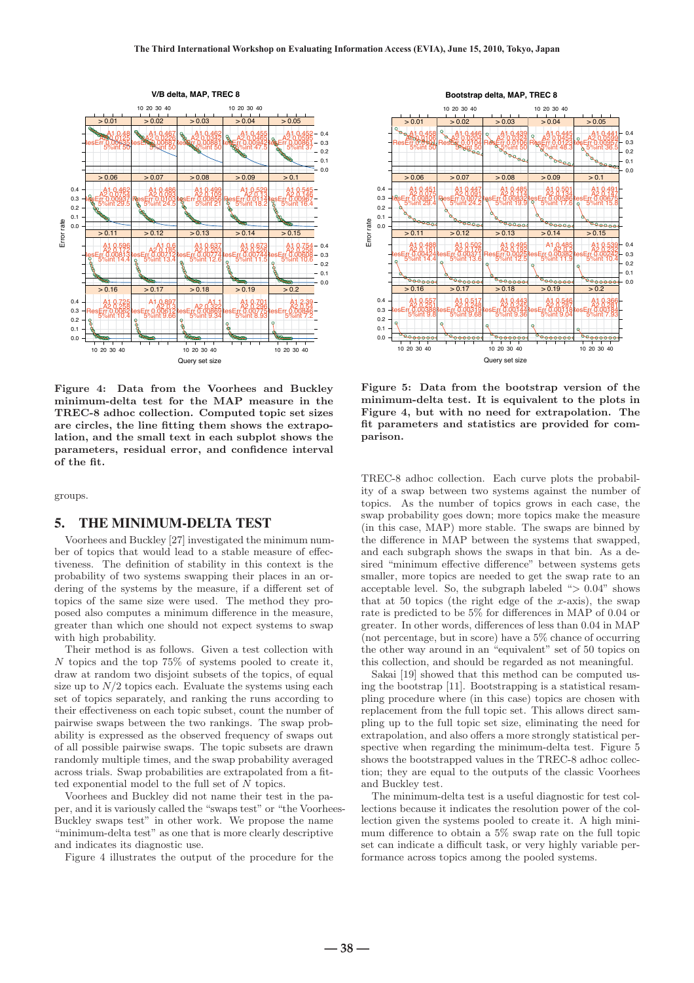

**Figure 4: Data from the Voorhees and Buckley minimum-delta test for the MAP measure in the TREC-8 adhoc collection. Computed topic set sizes are circles, the line fitting them shows the extrapolation, and the small text in each subplot shows the parameters, residual error, and confidence interval of the fit.**

groups.

#### 5. THE MINIMUM-DELTA TEST

Voorhees and Buckley [27] investigated the minimum number of topics that would lead to a stable measure of effectiveness. The definition of stability in this context is the probability of two systems swapping their places in an ordering of the systems by the measure, if a different set of topics of the same size were used. The method they proposed also computes a minimum difference in the measure, greater than which one should not expect systems to swap with high probability.

Their method is as follows. Given a test collection with N topics and the top 75% of systems pooled to create it, draw at random two disjoint subsets of the topics, of equal size up to  $N/2$  topics each. Evaluate the systems using each set of topics separately, and ranking the runs according to their effectiveness on each topic subset, count the number of pairwise swaps between the two rankings. The swap probability is expressed as the observed frequency of swaps out of all possible pairwise swaps. The topic subsets are drawn randomly multiple times, and the swap probability averaged across trials. Swap probabilities are extrapolated from a fitted exponential model to the full set of N topics.

Voorhees and Buckley did not name their test in the paper, and it is variously called the "swaps test" or "the Voorhees-Buckley swaps test" in other work. We propose the name "minimum-delta test" as one that is more clearly descriptive and indicates its diagnostic use.

Figure 4 illustrates the output of the procedure for the



**Figure 5: Data from the bootstrap version of the minimum-delta test. It is equivalent to the plots in Figure 4, but with no need for extrapolation. The fit parameters and statistics are provided for comparison.**

TREC-8 adhoc collection. Each curve plots the probability of a swap between two systems against the number of topics. As the number of topics grows in each case, the swap probability goes down; more topics make the measure (in this case, MAP) more stable. The swaps are binned by the difference in MAP between the systems that swapped, and each subgraph shows the swaps in that bin. As a desired "minimum effective difference" between systems gets smaller, more topics are needed to get the swap rate to an acceptable level. So, the subgraph labeled " $> 0.04$ " shows that at 50 topics (the right edge of the  $x$ -axis), the swap rate is predicted to be 5% for differences in MAP of 0.04 or greater. In other words, differences of less than 0.04 in MAP (not percentage, but in score) have a 5% chance of occurring the other way around in an "equivalent" set of 50 topics on this collection, and should be regarded as not meaningful.

Sakai [19] showed that this method can be computed using the bootstrap [11]. Bootstrapping is a statistical resampling procedure where (in this case) topics are chosen with replacement from the full topic set. This allows direct sampling up to the full topic set size, eliminating the need for extrapolation, and also offers a more strongly statistical perspective when regarding the minimum-delta test. Figure 5 shows the bootstrapped values in the TREC-8 adhoc collection; they are equal to the outputs of the classic Voorhees and Buckley test.

The minimum-delta test is a useful diagnostic for test collections because it indicates the resolution power of the collection given the systems pooled to create it. A high minimum difference to obtain a 5% swap rate on the full topic set can indicate a difficult task, or very highly variable performance across topics among the pooled systems.

**― 38 ―**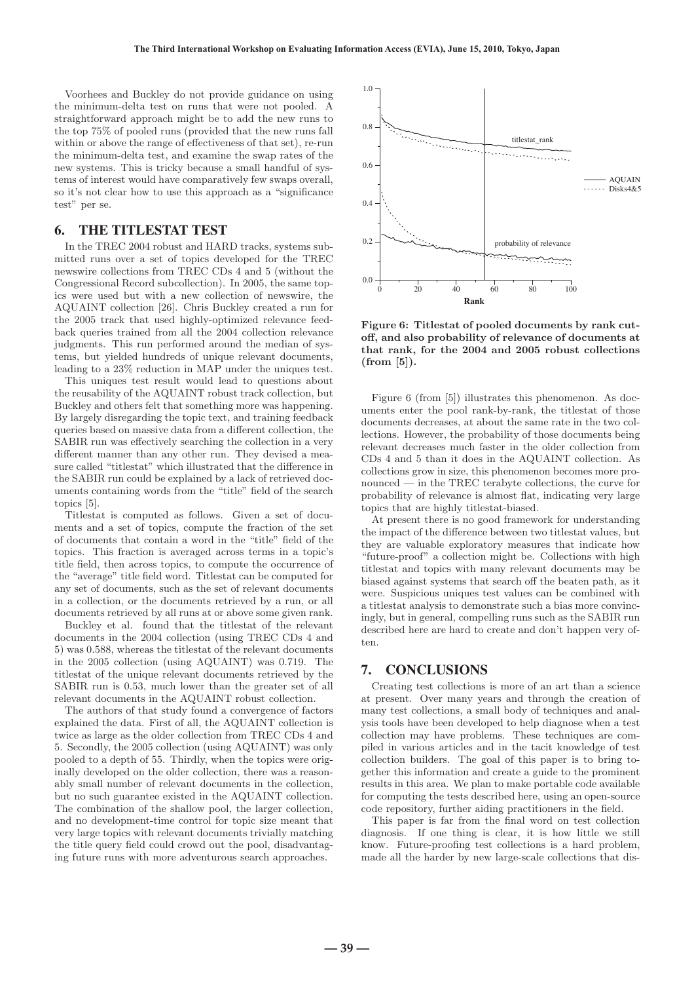Voorhees and Buckley do not provide guidance on using the minimum-delta test on runs that were not pooled. A straightforward approach might be to add the new runs to the top 75% of pooled runs (provided that the new runs fall within or above the range of effectiveness of that set), re-run the minimum-delta test, and examine the swap rates of the new systems. This is tricky because a small handful of systems of interest would have comparatively few swaps overall, so it's not clear how to use this approach as a "significance test" per se.

# 6. THE TITLESTAT TEST

In the TREC 2004 robust and HARD tracks, systems submitted runs over a set of topics developed for the TREC newswire collections from TREC CDs 4 and 5 (without the Congressional Record subcollection). In 2005, the same topics were used but with a new collection of newswire, the AQUAINT collection [26]. Chris Buckley created a run for the 2005 track that used highly-optimized relevance feedback queries trained from all the 2004 collection relevance judgments. This run performed around the median of systems, but yielded hundreds of unique relevant documents, leading to a 23% reduction in MAP under the uniques test.

This uniques test result would lead to questions about the reusability of the AQUAINT robust track collection, but Buckley and others felt that something more was happening. By largely disregarding the topic text, and training feedback queries based on massive data from a different collection, the SABIR run was effectively searching the collection in a very different manner than any other run. They devised a measure called "titlestat" which illustrated that the difference in the SABIR run could be explained by a lack of retrieved documents containing words from the "title" field of the search topics [5].

Titlestat is computed as follows. Given a set of documents and a set of topics, compute the fraction of the set of documents that contain a word in the "title" field of the topics. This fraction is averaged across terms in a topic's title field, then across topics, to compute the occurrence of the "average" title field word. Titlestat can be computed for any set of documents, such as the set of relevant documents in a collection, or the documents retrieved by a run, or all documents retrieved by all runs at or above some given rank.

Buckley et al. found that the titlestat of the relevant documents in the 2004 collection (using TREC CDs 4 and 5) was 0.588, whereas the titlestat of the relevant documents in the 2005 collection (using AQUAINT) was 0.719. The titlestat of the unique relevant documents retrieved by the SABIR run is 0.53, much lower than the greater set of all relevant documents in the AQUAINT robust collection.

The authors of that study found a convergence of factors explained the data. First of all, the AQUAINT collection is twice as large as the older collection from TREC CDs 4 and 5. Secondly, the 2005 collection (using AQUAINT) was only pooled to a depth of 55. Thirdly, when the topics were originally developed on the older collection, there was a reasonably small number of relevant documents in the collection, but no such guarantee existed in the AQUAINT collection. The combination of the shallow pool, the larger collection, and no development-time control for topic size meant that very large topics with relevant documents trivially matching the title query field could crowd out the pool, disadvantaging future runs with more adventurous search approaches.



**Figure 6: Titlestat of pooled documents by rank cutoff, and also probability of relevance of documents at that rank, for the 2004 and 2005 robust collections (from [5]).**

Figure 6 (from [5]) illustrates this phenomenon. As documents enter the pool rank-by-rank, the titlestat of those documents decreases, at about the same rate in the two collections. However, the probability of those documents being relevant decreases much faster in the older collection from CDs 4 and 5 than it does in the AQUAINT collection. As collections grow in size, this phenomenon becomes more pronounced — in the TREC terabyte collections, the curve for probability of relevance is almost flat, indicating very large topics that are highly titlestat-biased.

At present there is no good framework for understanding the impact of the difference between two titlestat values, but they are valuable exploratory measures that indicate how "future-proof" a collection might be. Collections with high titlestat and topics with many relevant documents may be biased against systems that search off the beaten path, as it were. Suspicious uniques test values can be combined with a titlestat analysis to demonstrate such a bias more convincingly, but in general, compelling runs such as the SABIR run described here are hard to create and don't happen very often.

# 7. CONCLUSIONS

Creating test collections is more of an art than a science at present. Over many years and through the creation of many test collections, a small body of techniques and analysis tools have been developed to help diagnose when a test collection may have problems. These techniques are compiled in various articles and in the tacit knowledge of test collection builders. The goal of this paper is to bring together this information and create a guide to the prominent results in this area. We plan to make portable code available for computing the tests described here, using an open-source code repository, further aiding practitioners in the field.

This paper is far from the final word on test collection diagnosis. If one thing is clear, it is how little we still know. Future-proofing test collections is a hard problem, made all the harder by new large-scale collections that dis-

**― 39 ―**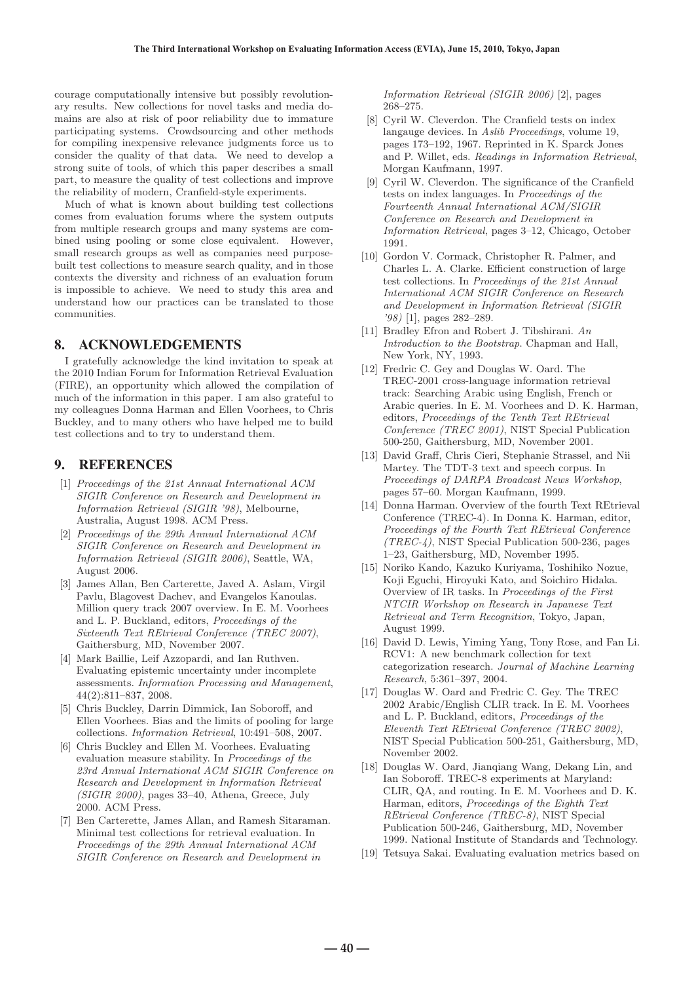courage computationally intensive but possibly revolutionary results. New collections for novel tasks and media domains are also at risk of poor reliability due to immature participating systems. Crowdsourcing and other methods for compiling inexpensive relevance judgments force us to consider the quality of that data. We need to develop a strong suite of tools, of which this paper describes a small part, to measure the quality of test collections and improve the reliability of modern, Cranfield-style experiments.

Much of what is known about building test collections comes from evaluation forums where the system outputs from multiple research groups and many systems are combined using pooling or some close equivalent. However, small research groups as well as companies need purposebuilt test collections to measure search quality, and in those contexts the diversity and richness of an evaluation forum is impossible to achieve. We need to study this area and understand how our practices can be translated to those communities.

# 8. ACKNOWLEDGEMENTS

I gratefully acknowledge the kind invitation to speak at the 2010 Indian Forum for Information Retrieval Evaluation (FIRE), an opportunity which allowed the compilation of much of the information in this paper. I am also grateful to my colleagues Donna Harman and Ellen Voorhees, to Chris Buckley, and to many others who have helped me to build test collections and to try to understand them.

# 9. REFERENCES

- [1] Proceedings of the 21st Annual International ACM SIGIR Conference on Research and Development in Information Retrieval (SIGIR '98), Melbourne, Australia, August 1998. ACM Press.
- [2] Proceedings of the 29th Annual International ACM SIGIR Conference on Research and Development in Information Retrieval (SIGIR 2006), Seattle, WA, August 2006.
- [3] James Allan, Ben Carterette, Javed A. Aslam, Virgil Pavlu, Blagovest Dachev, and Evangelos Kanoulas. Million query track 2007 overview. In E. M. Voorhees and L. P. Buckland, editors, Proceedings of the Sixteenth Text REtrieval Conference (TREC 2007), Gaithersburg, MD, November 2007.
- [4] Mark Baillie, Leif Azzopardi, and Ian Ruthven. Evaluating epistemic uncertainty under incomplete assessments. Information Processing and Management, 44(2):811–837, 2008.
- [5] Chris Buckley, Darrin Dimmick, Ian Soboroff, and Ellen Voorhees. Bias and the limits of pooling for large collections. Information Retrieval, 10:491–508, 2007.
- [6] Chris Buckley and Ellen M. Voorhees. Evaluating evaluation measure stability. In Proceedings of the 23rd Annual International ACM SIGIR Conference on Research and Development in Information Retrieval  $(SIGIR 2000)$ , pages 33–40, Athena, Greece, July 2000. ACM Press.
- [7] Ben Carterette, James Allan, and Ramesh Sitaraman. Minimal test collections for retrieval evaluation. In Proceedings of the 29th Annual International ACM SIGIR Conference on Research and Development in

Information Retrieval (SIGIR 2006) [2], pages 268–275.

- [8] Cyril W. Cleverdon. The Cranfield tests on index langauge devices. In Aslib Proceedings, volume 19, pages 173–192, 1967. Reprinted in K. Sparck Jones and P. Willet, eds. Readings in Information Retrieval, Morgan Kaufmann, 1997.
- [9] Cyril W. Cleverdon. The significance of the Cranfield tests on index languages. In Proceedings of the Fourteenth Annual International ACM/SIGIR Conference on Research and Development in Information Retrieval, pages 3–12, Chicago, October 1991.
- [10] Gordon V. Cormack, Christopher R. Palmer, and Charles L. A. Clarke. Efficient construction of large test collections. In Proceedings of the 21st Annual International ACM SIGIR Conference on Research and Development in Information Retrieval (SIGIR '98) [1], pages 282–289.
- [11] Bradley Efron and Robert J. Tibshirani. An Introduction to the Bootstrap. Chapman and Hall, New York, NY, 1993.
- [12] Fredric C. Gey and Douglas W. Oard. The TREC-2001 cross-language information retrieval track: Searching Arabic using English, French or Arabic queries. In E. M. Voorhees and D. K. Harman, editors, Proceedings of the Tenth Text REtrieval Conference (TREC 2001), NIST Special Publication 500-250, Gaithersburg, MD, November 2001.
- [13] David Graff, Chris Cieri, Stephanie Strassel, and Nii Martey. The TDT-3 text and speech corpus. In Proceedings of DARPA Broadcast News Workshop, pages 57–60. Morgan Kaufmann, 1999.
- [14] Donna Harman. Overview of the fourth Text REtrieval Conference (TREC-4). In Donna K. Harman, editor, Proceedings of the Fourth Text REtrieval Conference  $(TREC-4)$ , NIST Special Publication 500-236, pages 1–23, Gaithersburg, MD, November 1995.
- [15] Noriko Kando, Kazuko Kuriyama, Toshihiko Nozue, Koji Eguchi, Hiroyuki Kato, and Soichiro Hidaka. Overview of IR tasks. In Proceedings of the First NTCIR Workshop on Research in Japanese Text Retrieval and Term Recognition, Tokyo, Japan, August 1999.
- [16] David D. Lewis, Yiming Yang, Tony Rose, and Fan Li. RCV1: A new benchmark collection for text categorization research. Journal of Machine Learning Research, 5:361–397, 2004.
- [17] Douglas W. Oard and Fredric C. Gey. The TREC 2002 Arabic/English CLIR track. In E. M. Voorhees and L. P. Buckland, editors, Proceedings of the Eleventh Text REtrieval Conference (TREC 2002), NIST Special Publication 500-251, Gaithersburg, MD, November 2002.
- [18] Douglas W. Oard, Jianqiang Wang, Dekang Lin, and Ian Soboroff. TREC-8 experiments at Maryland: CLIR, QA, and routing. In E. M. Voorhees and D. K. Harman, editors, Proceedings of the Eighth Text REtrieval Conference (TREC-8), NIST Special Publication 500-246, Gaithersburg, MD, November 1999. National Institute of Standards and Technology.
- [19] Tetsuya Sakai. Evaluating evaluation metrics based on